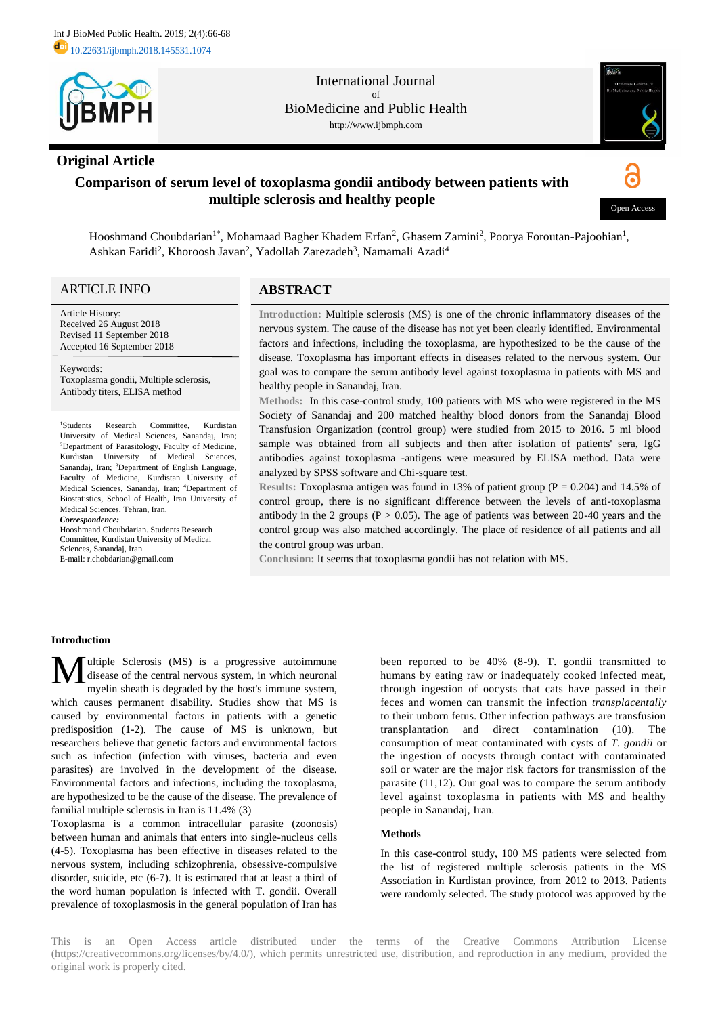

# **Original Article**

International Journal of BioMedicine and Public Health http://www.ijbmph.com



# **Comparison of serum level of toxoplasma gondii antibody between patients with multiple sclerosis and healthy people**



Hooshmand Choubdarian<sup>1\*</sup>, Mohamaad Bagher Khadem Erfan<sup>2</sup>, Ghasem Zamini<sup>2</sup>, Poorya Foroutan-Pajoohian<sup>1</sup>, Ashkan Faridi<sup>2</sup>, Khoroosh Javan<sup>2</sup>, Yadollah Zarezadeh<sup>3</sup>, Namamali Azadi<sup>4</sup>

## ARTICLE INFO

Article History: Received 26 August 2018 Revised 11 September 2018 Accepted 16 September 2018

Keywords: Toxoplasma gondii, Multiple sclerosis, Antibody titers, ELISA method

<sup>1</sup>Students Research Committee, Kurdistan University of Medical Sciences, Sanandaj, Iran; <sup>2</sup>Department of Parasitology, Faculty of Medicine, Kurdistan University of Medical Sciences, Sanandaj, Iran; <sup>3</sup>Department of English Language, Faculty of Medicine, Kurdistan University of Medical Sciences, Sanandaj, Iran; <sup>4</sup>Department of Biostatistics, School of Health, Iran University of Medical Sciences, Tehran, Iran.

*Correspondence:*

Hooshmand Choubdarian. Students Research Committee, Kurdistan University of Medical Sciences, Sanandaj, Iran

E-mail: r.chobdarian@gmail.com

### **ABSTRACT**

**Introduction:** Multiple sclerosis (MS) is one of the chronic inflammatory diseases of the nervous system. The cause of the disease has not yet been clearly identified. Environmental factors and infections, including the toxoplasma, are hypothesized to be the cause of the disease. Toxoplasma has important effects in diseases related to the nervous system. Our goal was to compare the serum antibody level against toxoplasma in patients with MS and healthy people in Sanandaj, Iran.

**Methods:** In this case-control study, 100 patients with MS who were registered in the MS Society of Sanandaj and 200 matched healthy blood donors from the Sanandaj Blood Transfusion Organization (control group) were studied from 2015 to 2016. 5 ml blood sample was obtained from all subjects and then after isolation of patients' sera, IgG antibodies against toxoplasma -antigens were measured by ELISA method. Data were analyzed by SPSS software and Chi-square test.

**Results:** Toxoplasma antigen was found in 13% of patient group (P = 0.204) and 14.5% of control group, there is no significant difference between the levels of anti-toxoplasma antibody in the 2 groups ( $P > 0.05$ ). The age of patients was between 20-40 years and the control group was also matched accordingly. The place of residence of all patients and all the control group was urban.

**Conclusion:** It seems that toxoplasma gondii has not relation with MS.

### **Introduction**

ultiple Sclerosis (MS) is a progressive autoimmune disease of the central nervous system, in which neuronal myelin sheath is degraded by the host's immune system, which causes permanent disability. Studies show that MS is caused by environmental factors in patients with a genetic predisposition (1-2). The cause of MS is unknown, but researchers believe that genetic factors and environmental factors such as infection (infection with viruses, bacteria and even parasites) are involved in the development of the disease. Environmental factors and infections, including the toxoplasma, are hypothesized to be the cause of the disease. The prevalence of familial multiple sclerosis in Iran is 11.4% (3) M

Toxoplasma is a common intracellular parasite (zoonosis) between human and animals that enters into single-nucleus cells (4-5). Toxoplasma has been effective in diseases related to the nervous system, including schizophrenia, obsessive-compulsive disorder, suicide, etc (6-7). It is estimated that at least a third of the word human population is infected with T. gondii. Overall prevalence of toxoplasmosis in the general population of Iran has

been reported to be 40% (8-9). T. gondii transmitted to humans by eating raw or inadequately cooked infected meat, through ingestion of oocysts that cats have passed in their feces and women can transmit the infection *transplacentally* to their unborn fetus. Other infection pathways are transfusion transplantation and direct contamination (10). The consumption of meat contaminated with cysts of *T. gondii* or the ingestion of oocysts through contact with contaminated soil or water are the major risk factors for transmission of the parasite (11,12). Our goal was to compare the serum antibody level against toxoplasma in patients with MS and healthy people in Sanandaj, Iran.

### **Methods**

In this case-control study, 100 MS patients were selected from the list of registered multiple sclerosis patients in the MS Association in Kurdistan province, from 2012 to 2013. Patients were randomly selected. The study protocol was approved by the

This is an Open Access article distributed under the terms of the Creative Commons Attribution License (https://creativecommons.org/licenses/by/4.0/), which permits unrestricted use, distribution, and reproduction in any medium, provided the original work is properly cited.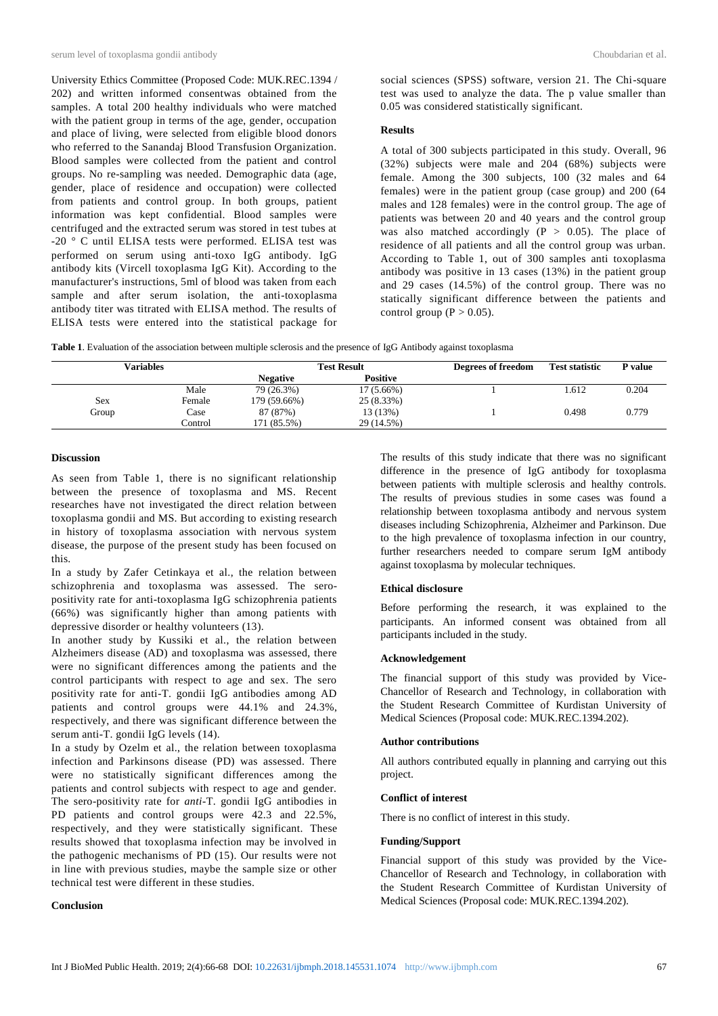University Ethics Committee (Proposed Code: MUK.REC.1394 / 202) and written informed consentwas obtained from the samples. A total 200 healthy individuals who were matched with the patient group in terms of the age, gender, occupation and place of living, were selected from eligible blood donors who referred to the Sanandaj Blood Transfusion Organization. Blood samples were collected from the patient and control groups. No re-sampling was needed. Demographic data (age, gender, place of residence and occupation) were collected from patients and control group. In both groups, patient information was kept confidential. Blood samples were centrifuged and the extracted serum was stored in test tubes at -20 ° C until ELISA tests were performed. ELISA test was performed on serum using anti-toxo IgG antibody. IgG antibody kits (Vircell toxoplasma IgG Kit). According to the manufacturer's instructions, 5ml of blood was taken from each sample and after serum isolation, the anti-toxoplasma antibody titer was titrated with ELISA method. The results of ELISA tests were entered into the statistical package for

social sciences (SPSS) software, version 21. The Chi-square test was used to analyze the data. The p value smaller than 0.05 was considered statistically significant.

#### **Results**

A total of 300 subjects participated in this study. Overall, 96 (32%) subjects were male and 204 (68%) subjects were female. Among the 300 subjects, 100 (32 males and 64 females) were in the patient group (case group) and 200 (64 males and 128 females) were in the control group. The age of patients was between 20 and 40 years and the control group was also matched accordingly  $(P > 0.05)$ . The place of residence of all patients and all the control group was urban. According to Table 1, out of 300 samples anti toxoplasma antibody was positive in 13 cases (13%) in the patient group and 29 cases (14.5%) of the control group. There was no statically significant difference between the patients and control group ( $P > 0.05$ ).

| Table 1. Evaluation of the association between multiple sclerosis and the presence of IgG Antibody against toxoplasma |  |  |  |
|-----------------------------------------------------------------------------------------------------------------------|--|--|--|
|-----------------------------------------------------------------------------------------------------------------------|--|--|--|

| Variables |         | <b>Test Result</b> |                 | Degrees of freedom | <b>Test statistic</b> | P value |
|-----------|---------|--------------------|-----------------|--------------------|-----------------------|---------|
|           |         | <b>Negative</b>    | <b>Positive</b> |                    |                       |         |
|           | Male    | 79 (26.3%)         | 17 (5.66%)      |                    | .612                  | 0.204   |
| Sex       | Female  | 179 (59.66%)       | 25 (8.33%)      |                    |                       |         |
| Group     | Case    | 87 (87%)           | 13 (13%)        |                    | 0.498                 | 0.779   |
|           | Control | 171 (85.5%)        | 29 (14.5%)      |                    |                       |         |

### **Discussion**

As seen from Table 1, there is no significant relationship between the presence of toxoplasma and MS. Recent researches have not investigated the direct relation between toxoplasma gondii and MS. But according to existing research in history of toxoplasma association with nervous system disease, the purpose of the present study has been focused on this.

In a study by Zafer Cetinkaya et al., the relation between schizophrenia and toxoplasma was assessed. The seropositivity rate for anti-toxoplasma IgG schizophrenia patients (66%) was significantly higher than among patients with depressive disorder or healthy volunteers (13).

In another study by Kussiki et al., the relation between Alzheimers disease (AD) and toxoplasma was assessed, there were no significant differences among the patients and the control participants with respect to age and sex. The sero positivity rate for anti*-*T. gondii IgG antibodies among AD patients and control groups were 44.1% and 24.3%, respectively, and there was significant difference between the serum anti*-*T. gondii IgG levels (14).

In a study by Ozelm et al., the relation between toxoplasma infection and Parkinsons disease (PD) was assessed. There were no statistically significant differences among the patients and control subjects with respect to age and gender. The sero-positivity rate for *anti-*T. gondii IgG antibodies in PD patients and control groups were 42.3 and 22.5%, respectively, and they were statistically significant. These results showed that toxoplasma infection may be involved in the pathogenic mechanisms of PD (15). Our results were not in line with previous studies, maybe the sample size or other technical test were different in these studies.

### **Conclusion**

The results of this study indicate that there was no significant difference in the presence of IgG antibody for toxoplasma between patients with multiple sclerosis and healthy controls. The results of previous studies in some cases was found a relationship between toxoplasma antibody and nervous system diseases including Schizophrenia, Alzheimer and Parkinson. Due to the high prevalence of toxoplasma infection in our country, further researchers needed to compare serum IgM antibody against toxoplasma by molecular techniques.

### **Ethical disclosure**

Before performing the research, it was explained to the participants. An informed consent was obtained from all participants included in the study.

## **Acknowledgement**

The financial support of this study was provided by Vice-Chancellor of Research and Technology, in collaboration with the Student Research Committee of Kurdistan University of Medical Sciences (Proposal code: MUK.REC.1394.202).

#### **Author contributions**

All authors contributed equally in planning and carrying out this project.

### **Conflict of interest**

There is no conflict of interest in this study.

#### **Funding/Support**

Financial support of this study was provided by the Vice-Chancellor of Research and Technology, in collaboration with the Student Research Committee of Kurdistan University of Medical Sciences (Proposal code: MUK.REC.1394.202).